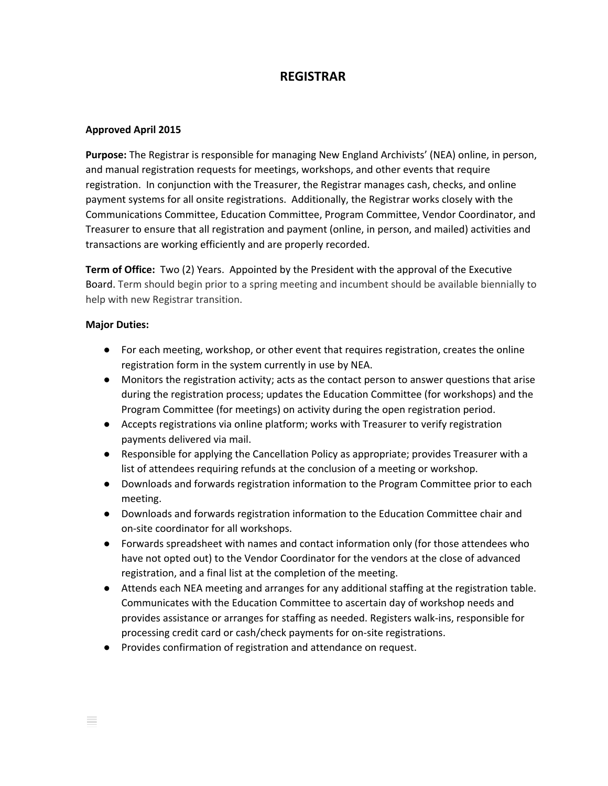## **REGISTRAR**

## **Approved April 2015**

**Purpose:** The Registrar is responsible for managing New England Archivists' (NEA) online, in person, and manual registration requests for meetings, workshops, and other events that require registration. In conjunction with the Treasurer, the Registrar manages cash, checks, and online payment systems for all onsite registrations. Additionally, the Registrar works closely with the Communications Committee, Education Committee, Program Committee, Vendor Coordinator, and Treasurer to ensure that all registration and payment (online, in person, and mailed) activities and transactions are working efficiently and are properly recorded.

**Term of Office:** Two (2) Years. Appointed by the President with the approval of the Executive Board. Term should begin prior to a spring meeting and incumbent should be available biennially to help with new Registrar transition.

## **Major Duties:**

- For each meeting, workshop, or other event that requires registration, creates the online registration form in the system currently in use by NEA.
- Monitors the registration activity; acts as the contact person to answer questions that arise during the registration process; updates the Education Committee (for workshops) and the Program Committee (for meetings) on activity during the open registration period.
- Accepts registrations via online platform; works with Treasurer to verify registration payments delivered via mail.
- Responsible for applying the Cancellation Policy as appropriate; provides Treasurer with a list of attendees requiring refunds at the conclusion of a meeting or workshop.
- Downloads and forwards registration information to the Program Committee prior to each meeting.
- Downloads and forwards registration information to the Education Committee chair and on-site coordinator for all workshops.
- Forwards spreadsheet with names and contact information only (for those attendees who have not opted out) to the Vendor Coordinator for the vendors at the close of advanced registration, and a final list at the completion of the meeting.
- Attends each NEA meeting and arranges for any additional staffing at the registration table. Communicates with the Education Committee to ascertain day of workshop needs and provides assistance or arranges for staffing as needed. Registers walk-ins, responsible for processing credit card or cash/check payments for on-site registrations.
- Provides confirmation of registration and attendance on request.